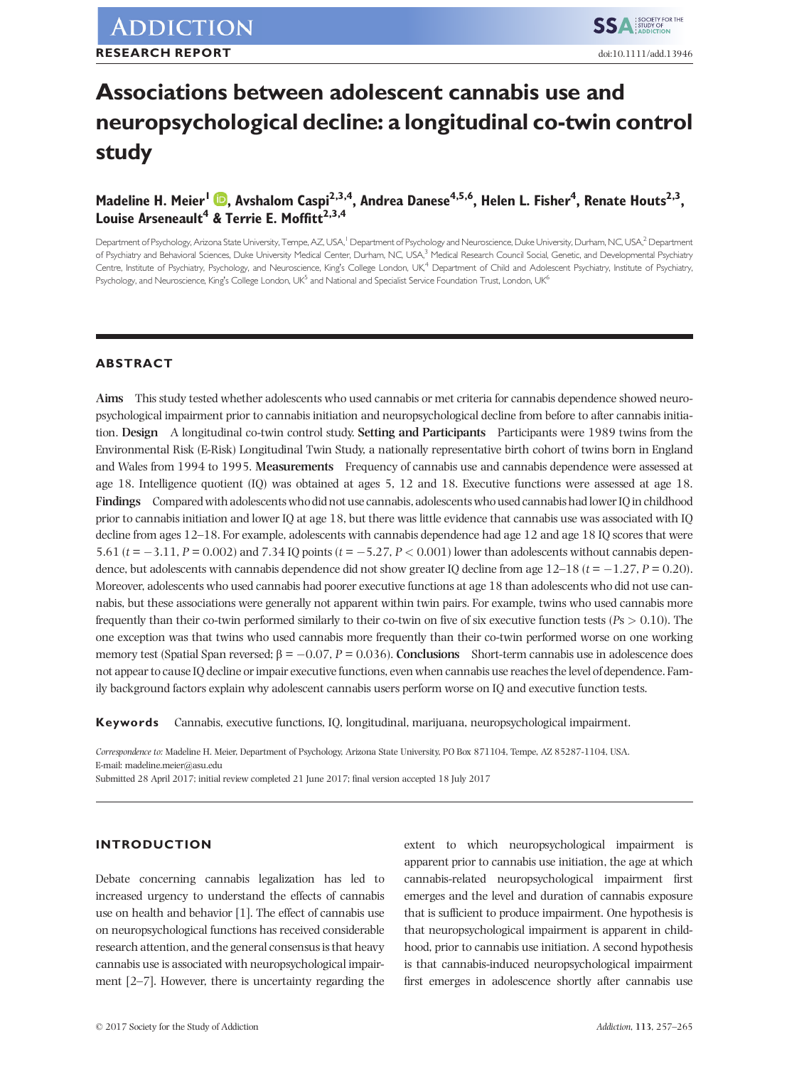# Associations between adolescent cannabis use and neuropsychological decline: a longitudinal co-twin control study

Madeline H. Meier<sup>l</sup> **D.** Avshalom Caspi<sup>2[,](http://orcid.org/0000-0003-2414-9304)3,4</sup>, Andrea Danese<sup>4,5,6</sup>, Helen L. Fisher<sup>4</sup>, Renate Houts<sup>2,3</sup>, Louise Arseneault<sup>4</sup> & Terrie E. Moffitt<sup>2,3,4</sup>

Department of Psychology, Arizona State University, Tempe, AZ, USA,<sup>1</sup> Department of Psychology and Neuroscience, Duke University, Durham, NC, USA,<sup>2</sup> Department of Psychiatry and Behavioral Sciences, Duke University Medical Center, Durham, NC, USA,<sup>3</sup> Medical Research Council Social, Genetic, and Developmental Psychiatry Centre, Institute of Psychiatry, Psychology, and Neuroscience, King's College London, UK,<sup>4</sup> Department of Child and Adolescent Psychiatry, Institute of Psychiatry, Psychology, and Neuroscience, King's College London, UK<sup>5</sup> and National and Specialist Service Foundation Trust, London, UK<sup>6</sup>

# ABSTRACT

Aims This study tested whether adolescents who used cannabis or met criteria for cannabis dependence showed neuropsychological impairment prior to cannabis initiation and neuropsychological decline from before to after cannabis initiation. Design A longitudinal co-twin control study. Setting and Participants Participants were 1989 twins from the Environmental Risk (E-Risk) Longitudinal Twin Study, a nationally representative birth cohort of twins born in England and Wales from 1994 to 1995. Measurements Frequency of cannabis use and cannabis dependence were assessed at age 18. Intelligence quotient (IQ) was obtained at ages 5, 12 and 18. Executive functions were assessed at age 18. Findings Compared with adolescents who did not use cannabis, adolescents who used cannabis had lower IQ in childhood prior to cannabis initiation and lower IQ at age 18, but there was little evidence that cannabis use was associated with IQ decline from ages 12–18. For example, adolescents with cannabis dependence had age 12 and age 18 IQ scores that were 5.61 ( $t = -3.11$ ,  $P = 0.002$ ) and 7.34 IQ points ( $t = -5.27$ ,  $P < 0.001$ ) lower than adolescents without cannabis dependence, but adolescents with cannabis dependence did not show greater IQ decline from age  $12-18$  ( $t = -1.27$ ,  $P = 0.20$ ). Moreover, adolescents who used cannabis had poorer executive functions at age 18 than adolescents who did not use cannabis, but these associations were generally not apparent within twin pairs. For example, twins who used cannabis more frequently than their co-twin performed similarly to their co-twin on five of six executive function tests ( $Ps > 0.10$ ). The one exception was that twins who used cannabis more frequently than their co-twin performed worse on one working memory test (Spatial Span reversed;  $\beta = -0.07$ ,  $P = 0.036$ ). Conclusions Short-term cannabis use in adolescence does not appear to cause IQ decline or impair executive functions, even when cannabis use reaches the level of dependence. Family background factors explain why adolescent cannabis users perform worse on IQ and executive function tests.

Keywords Cannabis, executive functions, IQ, longitudinal, marijuana, neuropsychological impairment.

Correspondence to: Madeline H. Meier, Department of Psychology, Arizona State University, PO Box 871104, Tempe, AZ 85287-1104, USA. E-mail: madeline.meier@asu.edu

Submitted 28 April 2017; initial review completed 21 June 2017; final version accepted 18 July 2017

## INTRODUCTION

Debate concerning cannabis legalization has led to increased urgency to understand the effects of cannabis use on health and behavior [1]. The effect of cannabis use on neuropsychological functions has received considerable research attention, and the general consensus is that heavy cannabis use is associated with neuropsychological impairment [2–7]. However, there is uncertainty regarding the

extent to which neuropsychological impairment is apparent prior to cannabis use initiation, the age at which cannabis-related neuropsychological impairment first emerges and the level and duration of cannabis exposure that is sufficient to produce impairment. One hypothesis is that neuropsychological impairment is apparent in childhood, prior to cannabis use initiation. A second hypothesis is that cannabis-induced neuropsychological impairment first emerges in adolescence shortly after cannabis use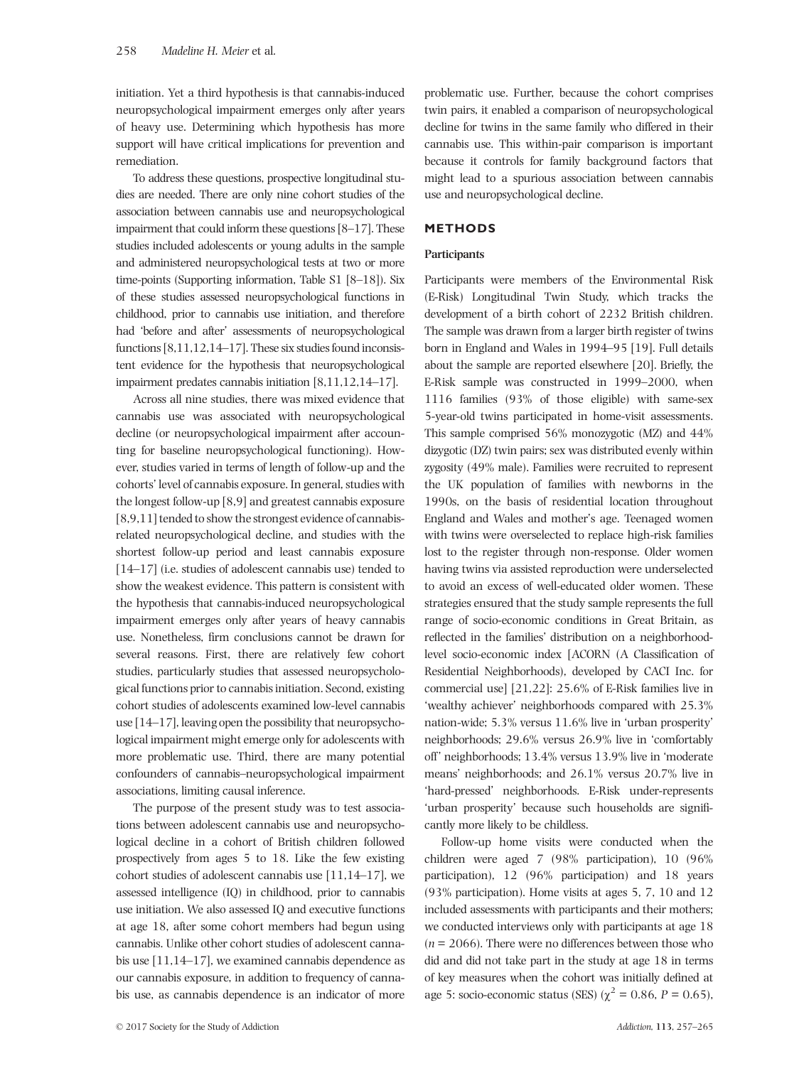initiation. Yet a third hypothesis is that cannabis-induced neuropsychological impairment emerges only after years of heavy use. Determining which hypothesis has more support will have critical implications for prevention and remediation.

To address these questions, prospective longitudinal studies are needed. There are only nine cohort studies of the association between cannabis use and neuropsychological impairment that could inform these questions [8–17]. These studies included adolescents or young adults in the sample and administered neuropsychological tests at two or more time-points (Supporting information, Table S1 [8–18]). Six of these studies assessed neuropsychological functions in childhood, prior to cannabis use initiation, and therefore had 'before and after' assessments of neuropsychological functions [8,11,12,14–17]. These six studies found inconsistent evidence for the hypothesis that neuropsychological impairment predates cannabis initiation [8,11,12,14–17].

Across all nine studies, there was mixed evidence that cannabis use was associated with neuropsychological decline (or neuropsychological impairment after accounting for baseline neuropsychological functioning). However, studies varied in terms of length of follow-up and the cohorts' level of cannabis exposure. In general, studies with the longest follow-up [8,9] and greatest cannabis exposure [8,9,11] tended to show the strongest evidence of cannabisrelated neuropsychological decline, and studies with the shortest follow-up period and least cannabis exposure [14–17] (i.e. studies of adolescent cannabis use) tended to show the weakest evidence. This pattern is consistent with the hypothesis that cannabis-induced neuropsychological impairment emerges only after years of heavy cannabis use. Nonetheless, firm conclusions cannot be drawn for several reasons. First, there are relatively few cohort studies, particularly studies that assessed neuropsychological functions prior to cannabis initiation. Second, existing cohort studies of adolescents examined low-level cannabis use [14–17], leaving open the possibility that neuropsychological impairment might emerge only for adolescents with more problematic use. Third, there are many potential confounders of cannabis–neuropsychological impairment associations, limiting causal inference.

The purpose of the present study was to test associations between adolescent cannabis use and neuropsychological decline in a cohort of British children followed prospectively from ages 5 to 18. Like the few existing cohort studies of adolescent cannabis use [11,14–17], we assessed intelligence (IQ) in childhood, prior to cannabis use initiation. We also assessed IQ and executive functions at age 18, after some cohort members had begun using cannabis. Unlike other cohort studies of adolescent cannabis use [11,14–17], we examined cannabis dependence as our cannabis exposure, in addition to frequency of cannabis use, as cannabis dependence is an indicator of more

problematic use. Further, because the cohort comprises twin pairs, it enabled a comparison of neuropsychological decline for twins in the same family who differed in their cannabis use. This within-pair comparison is important because it controls for family background factors that might lead to a spurious association between cannabis use and neuropsychological decline.

### METHODS

#### Participants

Participants were members of the Environmental Risk (E-Risk) Longitudinal Twin Study, which tracks the development of a birth cohort of 2232 British children. The sample was drawn from a larger birth register of twins born in England and Wales in 1994–95 [19]. Full details about the sample are reported elsewhere [20]. Briefly, the E-Risk sample was constructed in 1999–2000, when 1116 families (93% of those eligible) with same-sex 5-year-old twins participated in home-visit assessments. This sample comprised 56% monozygotic (MZ) and 44% dizygotic (DZ) twin pairs; sex was distributed evenly within zygosity (49% male). Families were recruited to represent the UK population of families with newborns in the 1990s, on the basis of residential location throughout England and Wales and mother's age. Teenaged women with twins were overselected to replace high-risk families lost to the register through non-response. Older women having twins via assisted reproduction were underselected to avoid an excess of well-educated older women. These strategies ensured that the study sample represents the full range of socio-economic conditions in Great Britain, as reflected in the families' distribution on a neighborhoodlevel socio-economic index [ACORN (A Classification of Residential Neighborhoods), developed by CACI Inc. for commercial use] [21,22]: 25.6% of E-Risk families live in 'wealthy achiever' neighborhoods compared with 25.3% nation-wide; 5.3% versus 11.6% live in 'urban prosperity' neighborhoods; 29.6% versus 26.9% live in 'comfortably off' neighborhoods; 13.4% versus 13.9% live in 'moderate means' neighborhoods; and 26.1% versus 20.7% live in 'hard-pressed' neighborhoods. E-Risk under-represents 'urban prosperity' because such households are significantly more likely to be childless.

Follow-up home visits were conducted when the children were aged 7 (98% participation), 10 (96% participation), 12 (96% participation) and 18 years (93% participation). Home visits at ages 5, 7, 10 and 12 included assessments with participants and their mothers; we conducted interviews only with participants at age 18  $(n = 2066)$ . There were no differences between those who did and did not take part in the study at age 18 in terms of key measures when the cohort was initially defined at age 5: socio-economic status (SES) ( $\chi^2 = 0.86$ ,  $P = 0.65$ ),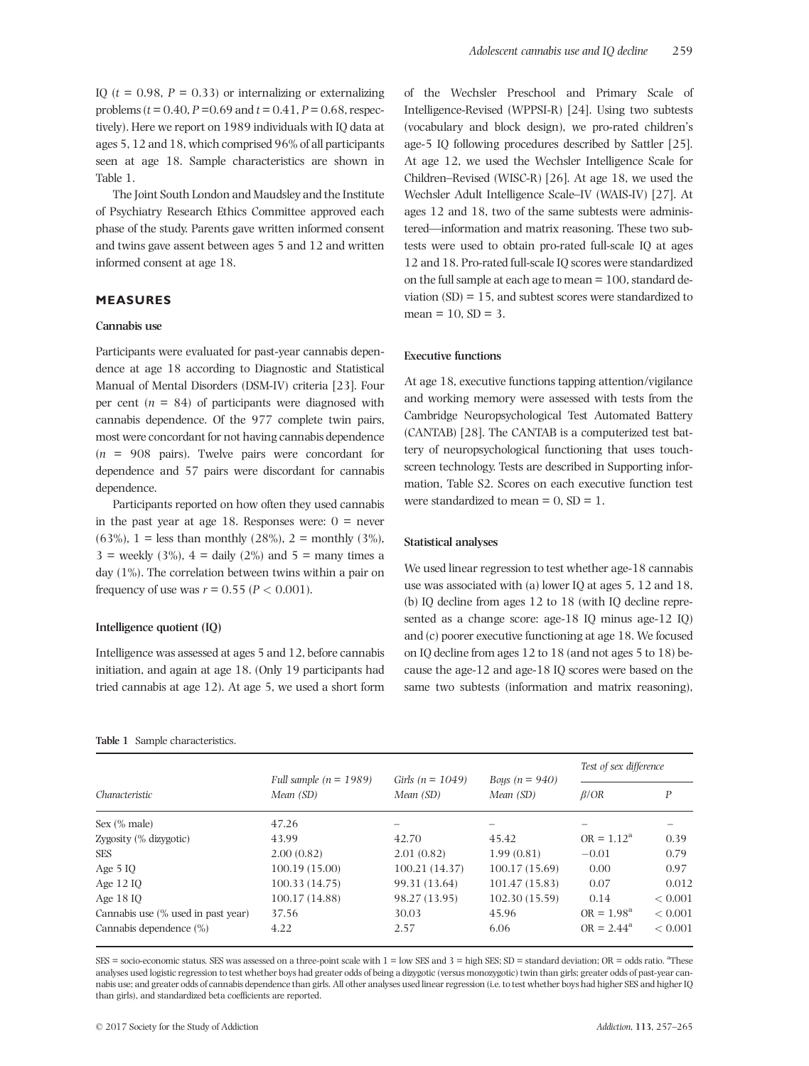IQ ( $t = 0.98$ ,  $P = 0.33$ ) or internalizing or externalizing problems ( $t = 0.40$ ,  $P = 0.69$  and  $t = 0.41$ ,  $P = 0.68$ , respectively). Here we report on 1989 individuals with IQ data at ages 5, 12 and 18, which comprised 96% of all participants seen at age 18. Sample characteristics are shown in Table 1.

The Joint South London and Maudsley and the Institute of Psychiatry Research Ethics Committee approved each phase of the study. Parents gave written informed consent and twins gave assent between ages 5 and 12 and written informed consent at age 18.

# MEASURES

#### Cannabis use

Participants were evaluated for past-year cannabis dependence at age 18 according to Diagnostic and Statistical Manual of Mental Disorders (DSM-IV) criteria [23]. Four per cent  $(n = 84)$  of participants were diagnosed with cannabis dependence. Of the 977 complete twin pairs, most were concordant for not having cannabis dependence  $(n = 908)$  pairs). Twelve pairs were concordant for dependence and 57 pairs were discordant for cannabis dependence.

Participants reported on how often they used cannabis in the past year at age 18. Responses were:  $0 =$  never (63%), 1 = less than monthly (28%), 2 = monthly (3%),  $3 =$  weekly  $(3\%)$ ,  $4 =$  daily  $(2\%)$  and  $5 =$  many times a day (1%). The correlation between twins within a pair on frequency of use was  $r = 0.55$  ( $P < 0.001$ ).

### Intelligence quotient (IQ)

Intelligence was assessed at ages 5 and 12, before cannabis initiation, and again at age 18. (Only 19 participants had tried cannabis at age 12). At age 5, we used a short form

#### Table 1 Sample characteristics.

of the Wechsler Preschool and Primary Scale of Intelligence-Revised (WPPSI-R) [24]. Using two subtests (vocabulary and block design), we pro-rated children's age-5 IQ following procedures described by Sattler [25]. At age 12, we used the Wechsler Intelligence Scale for Children–Revised (WISC-R) [26]. At age 18, we used the Wechsler Adult Intelligence Scale–IV (WAIS-IV) [27]. At ages 12 and 18, two of the same subtests were administered—information and matrix reasoning. These two subtests were used to obtain pro-rated full-scale IQ at ages 12 and 18. Pro-rated full-scale IQ scores were standardized on the full sample at each age to mean = 100, standard deviation  $(SD) = 15$ , and subtest scores were standardized to  $mean = 10$ ,  $SD = 3$ .

## Executive functions

At age 18, executive functions tapping attention/vigilance and working memory were assessed with tests from the Cambridge Neuropsychological Test Automated Battery (CANTAB) [28]. The CANTAB is a computerized test battery of neuropsychological functioning that uses touchscreen technology. Tests are described in Supporting information, Table S2. Scores on each executive function test were standardized to mean  $= 0$ ,  $SD = 1$ .

#### Statistical analyses

We used linear regression to test whether age-18 cannabis use was associated with (a) lower IQ at ages 5, 12 and 18, (b) IQ decline from ages 12 to 18 (with IQ decline represented as a change score: age-18 IQ minus age-12 IQ) and (c) poorer executive functioning at age 18. We focused on IQ decline from ages 12 to 18 (and not ages 5 to 18) because the age-12 and age-18 IQ scores were based on the same two subtests (information and matrix reasoning),

|                                    |                                       |                                   |                               | Test of sex difference |             |
|------------------------------------|---------------------------------------|-----------------------------------|-------------------------------|------------------------|-------------|
| Characteristic                     | Full sample $(n = 1989)$<br>Mean (SD) | Girls ( $n = 1049$ )<br>Mean (SD) | Boys $(n = 940)$<br>Mean (SD) | $\beta$ /OR            | P           |
| Sex $(\%$ male)                    | 47.26                                 |                                   |                               |                        |             |
| Zygosity $(\%$ dizygotic)          | 43.99                                 | 42.70                             | 45.42                         | $OR = 1.12^a$          | 0.39        |
| <b>SES</b>                         | 2.00(0.82)                            | 2.01(0.82)                        | 1.99(0.81)                    | $-0.01$                | 0.79        |
| Age $510$                          | 100.19 (15.00)                        | 100.21 (14.37)                    | 100.17(15.69)                 | 0.00                   | 0.97        |
| Age 12 IO                          | 100.33(14.75)                         | 99.31 (13.64)                     | 101.47(15.83)                 | 0.07                   | 0.012       |
| Age 18 IO                          | 100.17(14.88)                         | 98.27 (13.95)                     | 102.30(15.59)                 | 0.14                   | ${}< 0.001$ |
| Cannabis use (% used in past year) | 37.56                                 | 30.03                             | 45.96                         | $OR = 1.98^a$          | ${}< 0.001$ |
| Cannabis dependence $(\% )$        | 4.22                                  | 2.57                              | 6.06                          | $OR = 2.44^a$          | ${}< 0.001$ |

 $SES = \text{social-economic status}$ . SES was assessed on a three-point scale with  $1 = \text{low SES}$  and  $3 = \text{high SES}$ ; SD = standard deviation; OR = odds ratio.  ${}^{\text{a}}$ These analyses used logistic regression to test whether boys had greater odds of being a dizygotic (versus monozygotic) twin than girls; greater odds of past-year cannabis use; and greater odds of cannabis dependence than girls. All other analyses used linear regression (i.e. to test whether boys had higher SES and higher IQ than girls), and standardized beta coefficients are reported.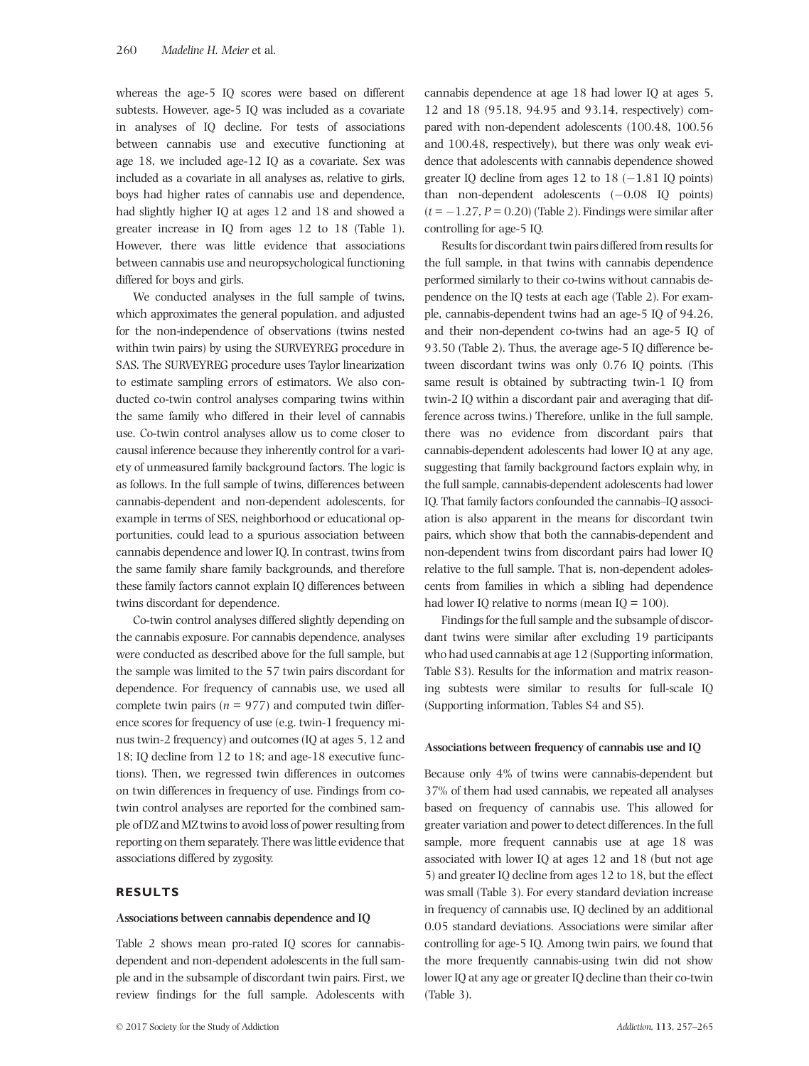whereas the age-5 IQ scores were based on different subtests. However, age-5 IQ was included as a covariate in analyses of IQ decline. For tests of associations between cannabis use and executive functioning at age 18, we included age-12 IQ as a covariate. Sex was included as a covariate in all analyses as, relative to girls, boys had higher rates of cannabis use and dependence, had slightly higher IQ at ages 12 and 18 and showed a greater increase in IQ from ages 12 to 18 (Table 1). However, there was little evidence that associations between cannabis use and neuropsychological functioning differed for boys and girls.

We conducted analyses in the full sample of twins, which approximates the general population, and adjusted for the non-independence of observations (twins nested within twin pairs) by using the SURVEYREG procedure in SAS. The SURVEYREG procedure uses Taylor linearization to estimate sampling errors of estimators. We also conducted co-twin control analyses comparing twins within the same family who differed in their level of cannabis use. Co-twin control analyses allow us to come closer to causal inference because they inherently control for a variety of unmeasured family background factors. The logic is as follows. In the full sample of twins, differences between cannabis-dependent and non-dependent adolescents, for example in terms of SES, neighborhood or educational opportunities, could lead to a spurious association between cannabis dependence and lower IQ. In contrast, twins from the same family share family backgrounds, and therefore these family factors cannot explain IQ differences between twins discordant for dependence.

Co-twin control analyses differed slightly depending on the cannabis exposure. For cannabis dependence, analyses were conducted as described above for the full sample, but the sample was limited to the 57 twin pairs discordant for dependence. For frequency of cannabis use, we used all complete twin pairs ( $n = 977$ ) and computed twin difference scores for frequency of use (e.g. twin-1 frequency minus twin-2 frequency) and outcomes (IQ at ages 5, 12 and 18; IQ decline from 12 to 18; and age-18 executive functions). Then, we regressed twin differences in outcomes on twin differences in frequency of use. Findings from cotwin control analyses are reported for the combined sample of DZ and MZ twins to avoid loss of power resulting from reporting on them separately. There was little evidence that associations differed by zygosity.

## RESULTS

#### Associations between cannabis dependence and IQ

Table 2 shows mean pro-rated IQ scores for cannabisdependent and non-dependent adolescents in the full sample and in the subsample of discordant twin pairs. First, we review findings for the full sample. Adolescents with cannabis dependence at age 18 had lower IQ at ages 5, 12 and 18 (95.18, 94.95 and 93.14, respectively) compared with non-dependent adolescents (100.48, 100.56 and 100.48, respectively), but there was only weak evidence that adolescents with cannabis dependence showed greater IQ decline from ages 12 to 18  $(-1.81$  IQ points) than non-dependent adolescents  $(-0.08 \text{ IQ points})$  $(t = -1.27, P = 0.20)$  (Table 2). Findings were similar after controlling for age-5 IQ.

Results for discordant twin pairs differed from results for the full sample, in that twins with cannabis dependence performed similarly to their co-twins without cannabis dependence on the IQ tests at each age (Table 2). For example, cannabis-dependent twins had an age-5 IQ of 94.26, and their non-dependent co-twins had an age-5 IQ of 93.50 (Table 2). Thus, the average age-5 IQ difference between discordant twins was only 0.76 IQ points. (This same result is obtained by subtracting twin-1 IQ from twin-2 IQ within a discordant pair and averaging that difference across twins.) Therefore, unlike in the full sample, there was no evidence from discordant pairs that cannabis-dependent adolescents had lower IQ at any age, suggesting that family background factors explain why, in the full sample, cannabis-dependent adolescents had lower IQ. That family factors confounded the cannabis–IQ association is also apparent in the means for discordant twin pairs, which show that both the cannabis-dependent and non-dependent twins from discordant pairs had lower IQ relative to the full sample. That is, non-dependent adolescents from families in which a sibling had dependence had lower IQ relative to norms (mean IQ =  $100$ ).

Findings for the full sample and the subsample of discordant twins were similar after excluding 19 participants who had used cannabis at age 12 (Supporting information, Table S3). Results for the information and matrix reasoning subtests were similar to results for full-scale IQ (Supporting information, Tables S4 and S5).

#### Associations between frequency of cannabis use and IQ

Because only 4% of twins were cannabis-dependent but 37% of them had used cannabis, we repeated all analyses based on frequency of cannabis use. This allowed for greater variation and power to detect differences. In the full sample, more frequent cannabis use at age 18 was associated with lower IQ at ages 12 and 18 (but not age 5) and greater IQ decline from ages 12 to 18, but the effect was small (Table 3). For every standard deviation increase in frequency of cannabis use, IQ declined by an additional 0.05 standard deviations. Associations were similar after controlling for age-5 IQ. Among twin pairs, we found that the more frequently cannabis-using twin did not show lower IQ at any age or greater IQ decline than their co-twin (Table 3).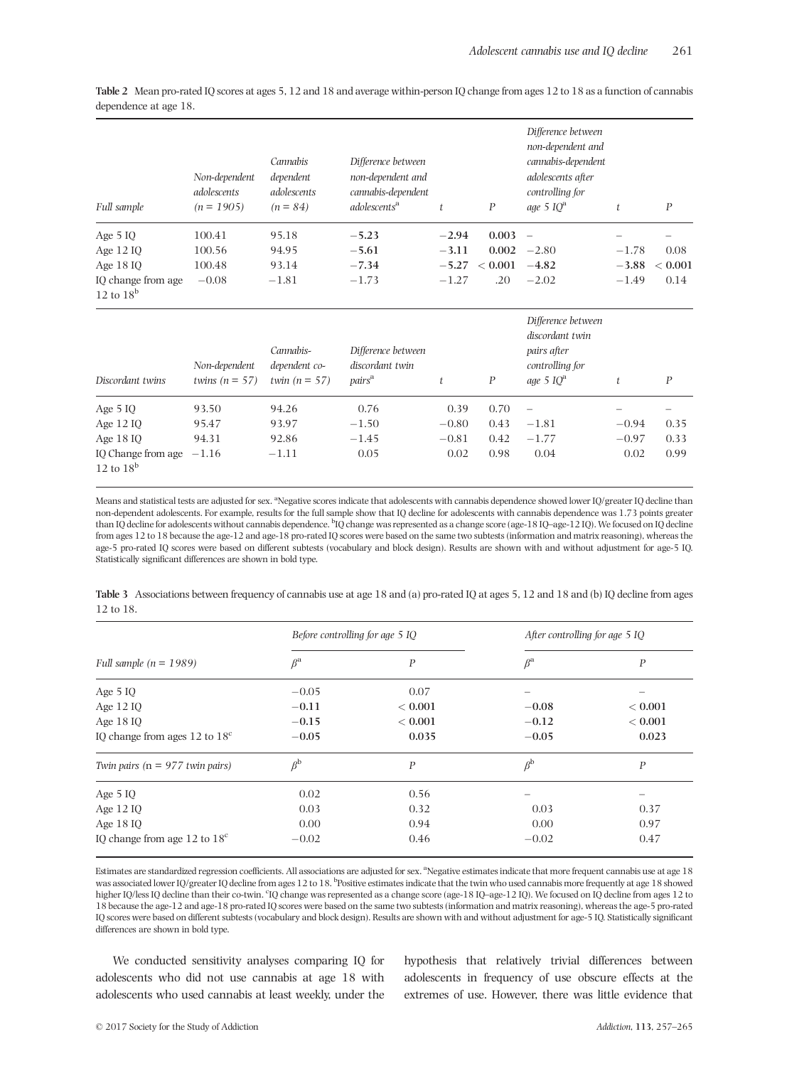| <b>Full sample</b>                 | Non-dependent<br>adolescents<br>$(n = 1905)$ | Cannabis<br>dependent<br>adolescents<br>$(n = 84)$ | Difference between<br>non-dependent and<br>cannabis-dependent<br>adolescents <sup>a</sup> | t       | $\boldsymbol{P}$ | Difference between<br>non-dependent and<br>cannabis-dependent<br>adolescents after<br>controlling for<br>age 5 $IQ^a$ | t       | $\boldsymbol{P}$ |
|------------------------------------|----------------------------------------------|----------------------------------------------------|-------------------------------------------------------------------------------------------|---------|------------------|-----------------------------------------------------------------------------------------------------------------------|---------|------------------|
| Age $510$                          | 100.41                                       | 95.18                                              | $-5.23$                                                                                   | $-2.94$ | 0.003            | $\overline{\phantom{m}}$                                                                                              |         |                  |
| Age 12 IQ                          | 100.56                                       | 94.95                                              | $-5.61$                                                                                   | $-3.11$ | 0.002            | $-2.80$                                                                                                               | $-1.78$ | 0.08             |
| Age 18 IO                          | 100.48                                       | 93.14                                              | $-7.34$                                                                                   | $-5.27$ | < 0.001          | $-4.82$                                                                                                               | $-3.88$ | ${}< 0.001$      |
| IQ change from age<br>12 to $18^b$ | $-0.08$                                      | $-1.81$                                            | $-1.73$                                                                                   | $-1.27$ | .20              | $-2.02$                                                                                                               | $-1.49$ | 0.14             |
| Discordant twins                   | Non-dependent<br>twins $(n = 57)$            | Cannabis-<br>dependent co-<br>twin $(n = 57)$      | Difference between<br>discordant twin<br>pairs <sup>a</sup>                               | t       | $\boldsymbol{P}$ | Difference between<br>discordant twin<br>pairs after<br>controlling for<br>age 5 $IQ^a$                               | t       | $\boldsymbol{P}$ |
| Age $510$                          | 93.50                                        | 94.26                                              | 0.76                                                                                      | 0.39    | 0.70             |                                                                                                                       |         |                  |
| Age 12 IQ                          | 95.47                                        | 93.97                                              | $-1.50$                                                                                   | $-0.80$ | 0.43             | $-1.81$                                                                                                               | $-0.94$ | 0.35             |
| Age $1810$                         | 94.31                                        | 92.86                                              | $-1.45$                                                                                   | $-0.81$ | 0.42             | $-1.77$                                                                                                               | $-0.97$ | 0.33             |
| IQ Change from age                 | $-1.16$                                      | $-1.11$                                            | 0.05                                                                                      | 0.02    | 0.98             | 0.04                                                                                                                  | 0.02    | 0.99             |

Table 2 Mean pro-rated IQ scores at ages 5, 12 and 18 and average within-person IQ change from ages 12 to 18 as a function of cannabis dependence at age 18.

Means and statistical tests are adjusted for sex. <sup>a</sup>Negative scores indicate that adolescents with cannabis dependence showed lower IQ/greater IQ decline than non-dependent adolescents. For example, results for the full sample show that IQ decline for adolescents with cannabis dependence was 1.73 points greater than IQ decline for adolescents without cannabis dependence. <sup>b</sup>IQ change was represented as a change score (age-18 IQ–age-12 IQ). We focused on IQ decline from ages 12 to 18 because the age-12 and age-18 pro-rated IQ scores were based on the same two subtests (information and matrix reasoning), whereas the age-5 pro-rated IQ scores were based on different subtests (vocabulary and block design). Results are shown with and without adjustment for age-5 IQ. Statistically significant differences are shown in bold type.

Table 3 Associations between frequency of cannabis use at age 18 and (a) pro-rated IQ at ages 5, 12 and 18 and (b) IQ decline from ages 12 to 18.

|                                        | Before controlling for age 5 IO |                  | After controlling for age 5 IO |                  |  |  |
|----------------------------------------|---------------------------------|------------------|--------------------------------|------------------|--|--|
| Full sample $(n = 1989)$               | $\beta^{\rm a}$                 | $\boldsymbol{P}$ | $\beta^{\rm a}$                | $\boldsymbol{P}$ |  |  |
| Age $510$                              | $-0.05$                         | 0.07             |                                |                  |  |  |
| Age 12 IQ                              | $-0.11$                         | ${}< 0.001$      | $-0.08$                        | ${}< 0.001$      |  |  |
| Age $1810$                             | $-0.15$                         | ${}< 0.001$      | $-0.12$                        | ${}< 0.001$      |  |  |
| IO change from ages 12 to $18^{\circ}$ | $-0.05$                         | 0.035            | $-0.05$                        | 0.023            |  |  |
| Twin pairs ( $n = 977$ twin pairs)     | $\beta^{\rm b}$                 | $\boldsymbol{P}$ | $\beta^{\rm b}$                | $\boldsymbol{P}$ |  |  |
| Age $510$                              | 0.02                            | 0.56             |                                |                  |  |  |
| Age 12 IQ                              | 0.03                            | 0.32             | 0.03                           | 0.37             |  |  |
| Age 18 IO                              | 0.00                            | 0.94             | 0.00                           | 0.97             |  |  |
| IO change from age 12 to $18^{\circ}$  | $-0.02$                         | 0.46             | $-0.02$                        | 0.47             |  |  |

Estimates are standardized regression coefficients. All associations are adjusted for sex. <sup>a</sup>Negative estimates indicate that more frequent cannabis use at age 18 was associated lower IQ/greater IQ decline from ages 12 to 18. <sup>b</sup>Positive estimates indicate that the twin who used cannabis more frequently at age 18 showed higher IQ/less IQ decline than their co-twin. "IQ change was represented as a change score (age-18 IQ–age-12 IQ). We focused on IQ decline from ages 12 to 18 because the age-12 and age-18 pro-rated IQ scores were based on the same two subtests (information and matrix reasoning), whereas the age-5 pro-rated IQ scores were based on different subtests (vocabulary and block design). Results are shown with and without adjustment for age-5 IQ. Statistically significant differences are shown in bold type.

We conducted sensitivity analyses comparing IQ for adolescents who did not use cannabis at age 18 with adolescents who used cannabis at least weekly, under the hypothesis that relatively trivial differences between adolescents in frequency of use obscure effects at the extremes of use. However, there was little evidence that

12 to  $18<sup>b</sup>$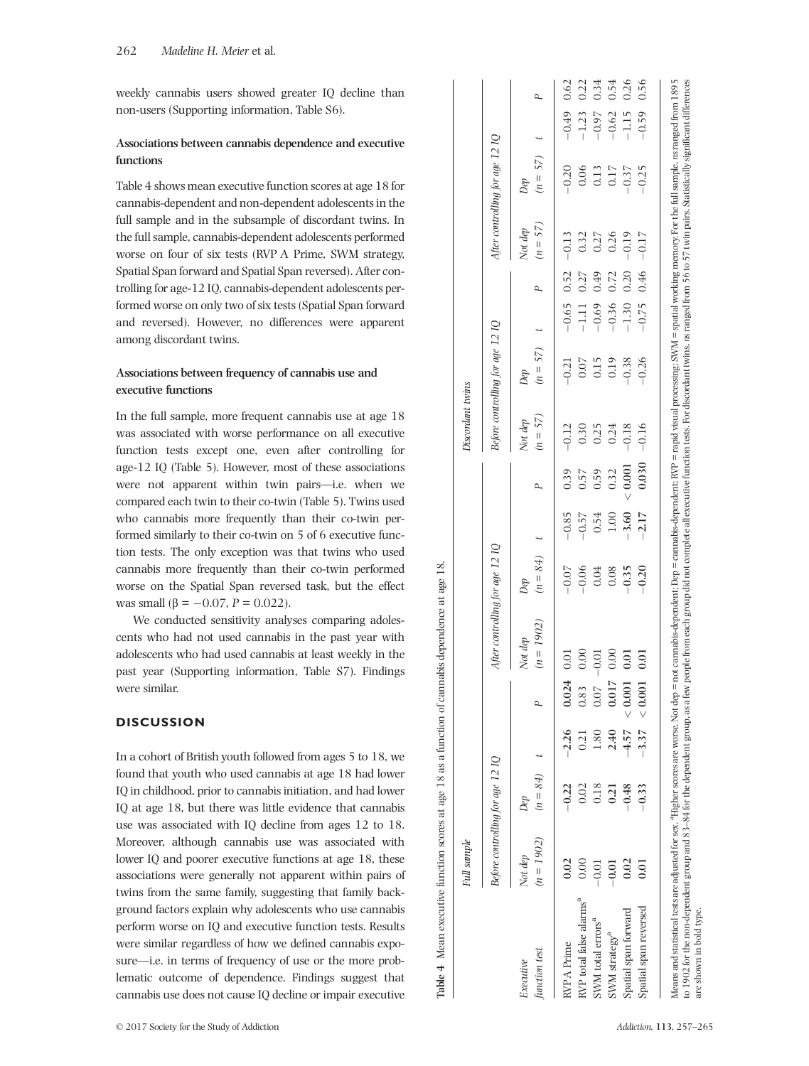weekly cannabis users showed greater IQ decline than non-users (Supporting information, Table S6).

# Associations between cannabis dependence and executive functions

Table 4 shows mean executive function scores at age 18 for cannabis-dependent and non-dependent adolescents in the full sample and in the subsample of discordant twins. In the full sample, cannabis-dependent adolescents performed worse on four of six tests (RVP A Prime, SWM strategy, Spatial Span forward and Spatial Span reversed). After controlling for age-12 IQ, cannabis-dependent adolescents performed worse on only two of six tests (Spatial Span forward and reversed). However, no differences were apparent among discordant twins.

# Associations between frequency of cannabis use and executive functions

In the full sample, more frequent cannabis use at age 18 was associated with worse performance on all executive function tests except one, even after controlling for age-12 IQ (Table 5). However, most of these associations were not apparent within twin pairs—i.e. when we compared each twin to their co-twin (Table 5). Twins used who cannabis more frequently than their co-twin performed similarly to their co-twin on 5 of 6 executive function tests. The only exception was that twins who used cannabis more frequently than their co-twin performed worse on the Spatial Span reversed task, but the effect was small ( $\beta = -0.07$ ,  $P = 0.022$ ).

We conducted sensitivity analyses comparing adolescents who had not used cannabis in the past year with adolescents who had used cannabis at least weekly in the past year (Supporting information, Table S7). Findings were similar.

# **DISCUSSION**

In a cohort of British youth followed from ages 5 to 18, we found that youth who used cannabis at age 18 had lower IQ in childhood, prior to cannabis initiation, and had lower IQ at age 18, but there was little evidence that cannabis use was associated with IQ decline from ages 12 to 18. Moreover, although cannabis use was associated with lower IQ and poorer executive functions at age 18, these associations were generally not apparent within pairs of twins from the same family, suggesting that family background factors explain why adolescents who use cannabis perform worse on IQ and executive function tests. Results were similar regardless of how we de fined cannabis exposure—i.e. in terms of frequency of use or the more problematic outcome of dependence. Findings suggest that cannabis use does not cause IQ decline or impair executive

|                                                                                                                                                                                                                                                                                                                                                                                                                                                                            | Full sample                      |                     |         |                 |                                 |                   |         |           | Discordant twins      |                                  |         |                        |                       |                                 |         |      |
|----------------------------------------------------------------------------------------------------------------------------------------------------------------------------------------------------------------------------------------------------------------------------------------------------------------------------------------------------------------------------------------------------------------------------------------------------------------------------|----------------------------------|---------------------|---------|-----------------|---------------------------------|-------------------|---------|-----------|-----------------------|----------------------------------|---------|------------------------|-----------------------|---------------------------------|---------|------|
|                                                                                                                                                                                                                                                                                                                                                                                                                                                                            | Before controlling for age 12 IQ |                     |         |                 | After controlling for age 12 IQ |                   |         |           |                       | Before controlling for age 12 IQ |         |                        |                       | After controlling for age 12 IQ |         |      |
| function test<br>$\label{eq:reactive} Every$                                                                                                                                                                                                                                                                                                                                                                                                                               | $(n = 1902)$<br>Not dep          | $(n = 84)$ t<br>Dep |         |                 | $(n = 1902)$<br>Not dep         | $m = 84$ t<br>Dep |         | P         | $(n = 57)$<br>Not dep | $(n = 57)$ t<br>Dep              |         | P                      | $(n = 57)$<br>Not dep | $(n = 57)$ t<br>Dep             |         | P    |
| <b>RVP A Prime</b>                                                                                                                                                                                                                                                                                                                                                                                                                                                         | 0.02                             | $-0.22$             | $-2.26$ | 0.024           | 0.01                            | $-0.07$           | $-0.85$ | 0.39      | $-0.12$               | $-0.21$                          |         | $-0.65$ $0.52$ $-0.13$ |                       | $-0.20$                         | $-0.49$ | 0.62 |
| RVP total false alarms <sup>a</sup>                                                                                                                                                                                                                                                                                                                                                                                                                                        | 0.00                             | 0.02                | 0.21    | 0.83            | $0.00\,$                        | $-0.06$           | $-0.57$ | 0.57      | 0.30                  | 0.07                             | $-1.11$ | 0.27                   | 0.32                  | 0.06                            | $-1.23$ | 0.22 |
| SWM total errors <sup>a</sup>                                                                                                                                                                                                                                                                                                                                                                                                                                              | $-0.01$                          | 0.18                | 0.81    | 0.07            | $-0.01$                         | 0.04              | 0.54    | 0.59      | 0.25                  | 0.15                             | $-0.69$ | 0.49                   | 0.27                  | 0.13                            | $-0.97$ | 0.34 |
| $SWM$ strategy <sup>a</sup>                                                                                                                                                                                                                                                                                                                                                                                                                                                | $-0.01$                          | 0.21                | 2.40    | 0.017           | 0.00                            | 0.08              | 1.00    | 0.32      | 0.24                  | 0.19                             | $-0.36$ | 0.72                   | 0.26                  | 0.17                            | $-0.62$ | 0.54 |
| Spatial span forward                                                                                                                                                                                                                                                                                                                                                                                                                                                       | 0.02                             | $-0.48$             |         | $-4.57 < 0.001$ | 0.01                            | $-0.35$           | $-3.60$ | $< 0.001$ | $-0.18$               | $-0.38$                          | $-1.30$ | 0.20                   | $-0.19$               | $-0.37$                         | $-1.15$ | 0.26 |
| Spatial span reversed                                                                                                                                                                                                                                                                                                                                                                                                                                                      | 0.01                             | $-0.33$             |         | $-3.37 - 0.001$ | 0.01                            | $-0.20$           | $-2.17$ | 0.030     | $-0.16$               | $-0.26$                          | $-0.75$ | 0.46                   | $-0.17$               | $-0.25$                         | $-0.59$ | 0.56 |
| Means and statistical tests are adjusted for sex. <sup>8</sup> Higher scores are worse. Not dep = not cannabis-dependent: Dep = cannabis-dependent: RVP = rapid visual processing; SWM = spatial working memory. For the full sample. ns<br>to 1902 for the non-dependent group and 83–84 for the dependent group as a few people from each group did not complete all executive function tests. For discordant twins, ns ranged from 56 to 57 twin pairs. Statistically s |                                  |                     |         |                 |                                 |                   |         |           |                       |                                  |         |                        |                       |                                 |         |      |
| are shown in bold type.                                                                                                                                                                                                                                                                                                                                                                                                                                                    |                                  |                     |         |                 |                                 |                   |         |           |                       |                                  |         |                        |                       |                                 |         |      |

Table 4 Mean executive function scores at age 18 as a function of cannabis dependence at age 18. Table 4 Mean executive function scores at age 18 as a function of cannabis dependence at age 18.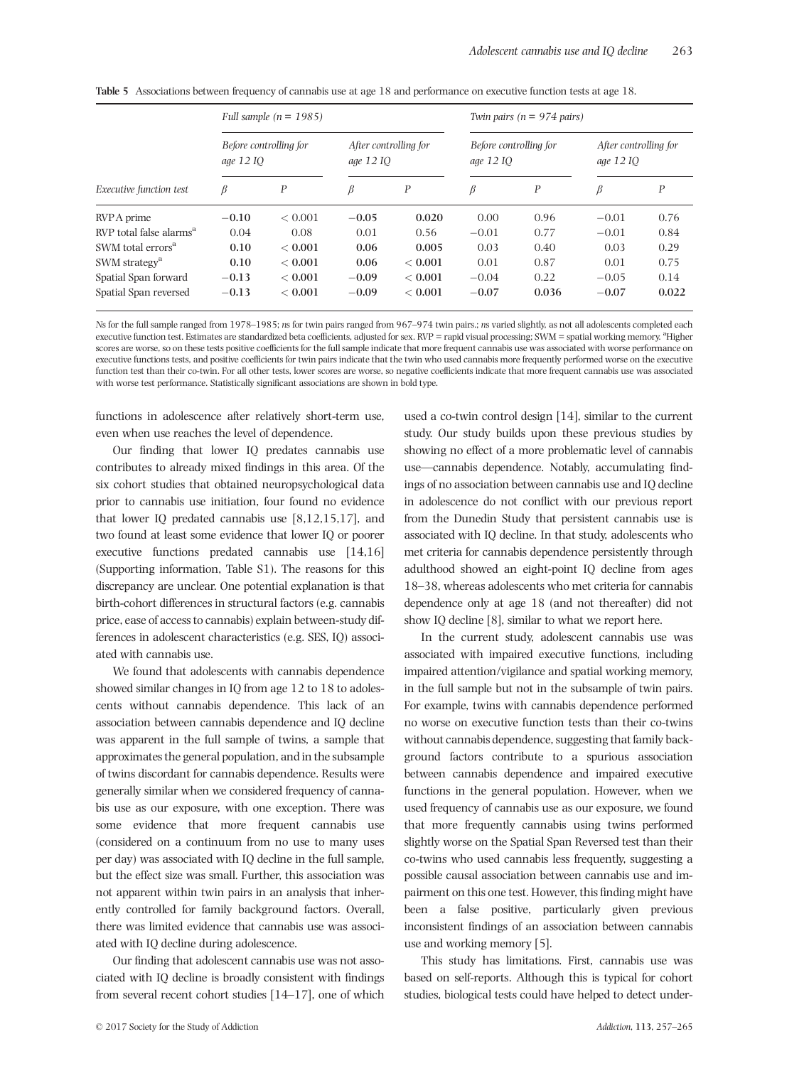|                                     |                                     | Full sample $(n = 1985)$ |         |                                    |         | Twin pairs ( $n = 974$ pairs)       |         |                                    |  |
|-------------------------------------|-------------------------------------|--------------------------|---------|------------------------------------|---------|-------------------------------------|---------|------------------------------------|--|
|                                     | Before controlling for<br>age 12 IO |                          |         | After controlling for<br>age 12 IO |         | Before controlling for<br>age 12 IO |         | After controlling for<br>age 12 IO |  |
| Executive function test             | β                                   | P                        | β       | P                                  | β       | $\boldsymbol{P}$                    | β       | $\boldsymbol{P}$                   |  |
| RVPA prime                          | $-0.10$                             | < 0.001                  | $-0.05$ | 0.020                              | 0.00    | 0.96                                | $-0.01$ | 0.76                               |  |
| RVP total false alarms <sup>a</sup> | 0.04                                | 0.08                     | 0.01    | 0.56                               | $-0.01$ | 0.77                                | $-0.01$ | 0.84                               |  |
| SWM total errors <sup>a</sup>       | 0.10                                | ${}< 0.001$              | 0.06    | 0.005                              | 0.03    | 0.40                                | 0.03    | 0.29                               |  |
| SWM strategy <sup>a</sup>           | 0.10                                | ${}< 0.001$              | 0.06    | ${}< 0.001$                        | 0.01    | 0.87                                | 0.01    | 0.75                               |  |
| Spatial Span forward                | $-0.13$                             | ${}< 0.001$              | $-0.09$ | ${}< 0.001$                        | $-0.04$ | 0.22                                | $-0.05$ | 0.14                               |  |
| Spatial Span reversed               | $-0.13$                             | ${}< 0.001$              | $-0.09$ | ${}< 0.001$                        | $-0.07$ | 0.036                               | $-0.07$ | 0.022                              |  |

Table 5 Associations between frequency of cannabis use at age 18 and performance on executive function tests at age 18.

Ns for the full sample ranged from 1978–1985; ns for twin pairs ranged from 967–974 twin pairs.; ns varied slightly, as not all adolescents completed each executive function test. Estimates are standardized beta coefficients, adjusted for sex. RVP = rapid visual processing; SWM = spatial working memory. <sup>a</sup>Higher scores are worse, so on these tests positive coefficients for the full sample indicate that more frequent cannabis use was associated with worse performance on executive functions tests, and positive coefficients for twin pairs indicate that the twin who used cannabis more frequently performed worse on the executive function test than their co-twin. For all other tests, lower scores are worse, so negative coefficients indicate that more frequent cannabis use was associated with worse test performance. Statistically significant associations are shown in bold type.

functions in adolescence after relatively short-term use, even when use reaches the level of dependence.

Our finding that lower IQ predates cannabis use contributes to already mixed findings in this area. Of the six cohort studies that obtained neuropsychological data prior to cannabis use initiation, four found no evidence that lower IQ predated cannabis use [8,12,15,17], and two found at least some evidence that lower IQ or poorer executive functions predated cannabis use [14,16] (Supporting information, Table S1). The reasons for this discrepancy are unclear. One potential explanation is that birth-cohort differences in structural factors (e.g. cannabis price, ease of access to cannabis) explain between-study differences in adolescent characteristics (e.g. SES, IQ) associated with cannabis use.

We found that adolescents with cannabis dependence showed similar changes in IQ from age 12 to 18 to adolescents without cannabis dependence. This lack of an association between cannabis dependence and IQ decline was apparent in the full sample of twins, a sample that approximates the general population, and in the subsample of twins discordant for cannabis dependence. Results were generally similar when we considered frequency of cannabis use as our exposure, with one exception. There was some evidence that more frequent cannabis use (considered on a continuum from no use to many uses per day) was associated with IQ decline in the full sample, but the effect size was small. Further, this association was not apparent within twin pairs in an analysis that inherently controlled for family background factors. Overall, there was limited evidence that cannabis use was associated with IQ decline during adolescence.

Our finding that adolescent cannabis use was not associated with IQ decline is broadly consistent with findings from several recent cohort studies [14–17], one of which

used a co-twin control design [14], similar to the current study. Our study builds upon these previous studies by showing no effect of a more problematic level of cannabis use—cannabis dependence. Notably, accumulating findings of no association between cannabis use and IQ decline in adolescence do not conflict with our previous report from the Dunedin Study that persistent cannabis use is associated with IQ decline. In that study, adolescents who met criteria for cannabis dependence persistently through adulthood showed an eight-point IQ decline from ages 18–38, whereas adolescents who met criteria for cannabis dependence only at age 18 (and not thereafter) did not show IQ decline [8], similar to what we report here.

In the current study, adolescent cannabis use was associated with impaired executive functions, including impaired attention/vigilance and spatial working memory, in the full sample but not in the subsample of twin pairs. For example, twins with cannabis dependence performed no worse on executive function tests than their co-twins without cannabis dependence, suggesting that family background factors contribute to a spurious association between cannabis dependence and impaired executive functions in the general population. However, when we used frequency of cannabis use as our exposure, we found that more frequently cannabis using twins performed slightly worse on the Spatial Span Reversed test than their co-twins who used cannabis less frequently, suggesting a possible causal association between cannabis use and impairment on this one test. However, this finding might have been a false positive, particularly given previous inconsistent findings of an association between cannabis use and working memory [5].

This study has limitations. First, cannabis use was based on self-reports. Although this is typical for cohort studies, biological tests could have helped to detect under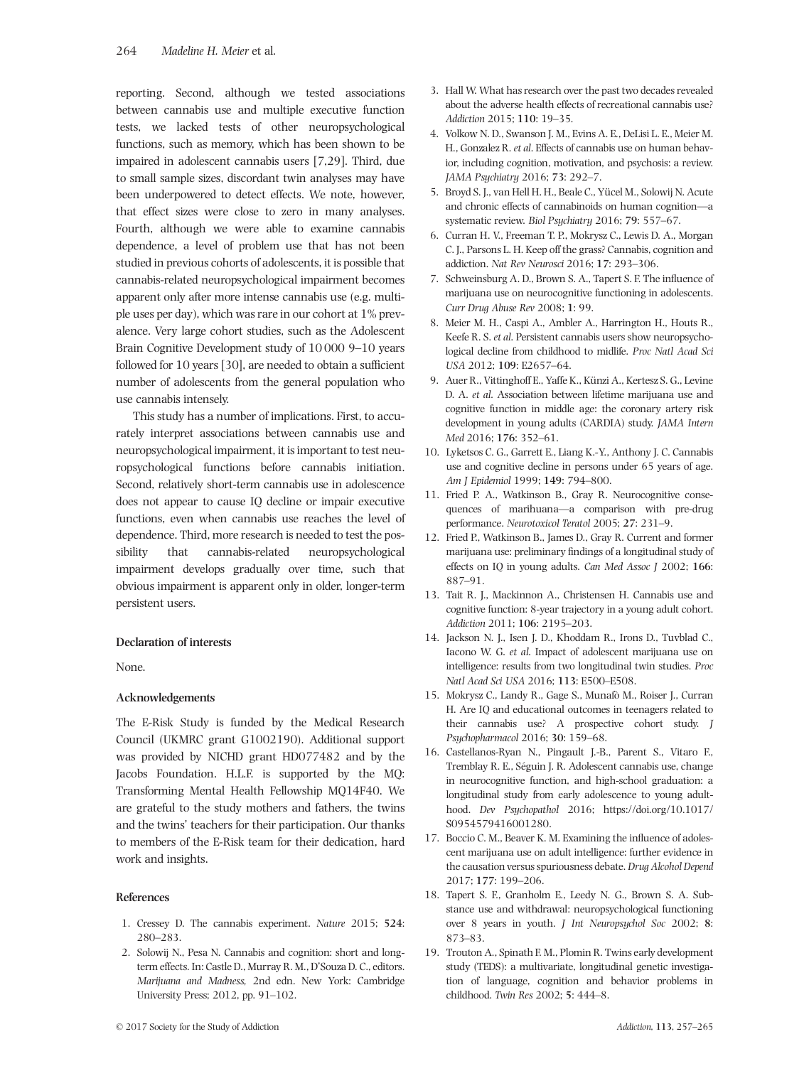reporting. Second, although we tested associations between cannabis use and multiple executive function tests, we lacked tests of other neuropsychological functions, such as memory, which has been shown to be impaired in adolescent cannabis users [7,29]. Third, due to small sample sizes, discordant twin analyses may have been underpowered to detect effects. We note, however, that effect sizes were close to zero in many analyses. Fourth, although we were able to examine cannabis dependence, a level of problem use that has not been studied in previous cohorts of adolescents, it is possible that cannabis-related neuropsychological impairment becomes apparent only after more intense cannabis use (e.g. multiple uses per day), which was rare in our cohort at 1% prevalence. Very large cohort studies, such as the Adolescent Brain Cognitive Development study of 10 000 9–10 years followed for 10 years [30], are needed to obtain a sufficient number of adolescents from the general population who use cannabis intensely.

This study has a number of implications. First, to accurately interpret associations between cannabis use and neuropsychological impairment, it is important to test neuropsychological functions before cannabis initiation. Second, relatively short-term cannabis use in adolescence does not appear to cause IQ decline or impair executive functions, even when cannabis use reaches the level of dependence. Third, more research is needed to test the possibility that cannabis-related neuropsychological impairment develops gradually over time, such that obvious impairment is apparent only in older, longer-term persistent users.

#### Declaration of interests

None.

## Acknowledgements

The E-Risk Study is funded by the Medical Research Council (UKMRC grant G1002190). Additional support was provided by NICHD grant HD077482 and by the Jacobs Foundation. H.L.F. is supported by the MQ: Transforming Mental Health Fellowship MQ14F40. We are grateful to the study mothers and fathers, the twins and the twins' teachers for their participation. Our thanks to members of the E-Risk team for their dedication, hard work and insights.

#### References

- 1. Cressey D. The cannabis experiment. Nature 2015; 524: 280–283.
- 2. Solowij N., Pesa N. Cannabis and cognition: short and longterm effects. In: Castle D., Murray R. M., D'Souza D. C., editors. Marijuana and Madness, 2nd edn. New York: Cambridge University Press; 2012, pp. 91–102.
- 3. Hall W. What has research over the past two decades revealed about the adverse health effects of recreational cannabis use? Addiction 2015; 110: 19–35.
- 4. Volkow N. D., Swanson J. M., Evins A. E., DeLisi L. E., Meier M. H., Gonzalez R. et al. Effects of cannabis use on human behavior, including cognition, motivation, and psychosis: a review. JAMA Psychiatry 2016; 73: 292–7.
- 5. Broyd S. J., van Hell H. H., Beale C., Yücel M., Solowij N. Acute and chronic effects of cannabinoids on human cognition—a systematic review. Biol Psychiatry 2016; 79: 557–67.
- 6. Curran H. V., Freeman T. P., Mokrysz C., Lewis D. A., Morgan C. J., Parsons L. H. Keep off the grass? Cannabis, cognition and addiction. Nat Rev Neurosci 2016; 17: 293–306.
- 7. Schweinsburg A. D., Brown S. A., Tapert S. F. The influence of marijuana use on neurocognitive functioning in adolescents. Curr Drug Abuse Rev 2008; 1: 99.
- 8. Meier M. H., Caspi A., Ambler A., Harrington H., Houts R., Keefe R. S. et al. Persistent cannabis users show neuropsychological decline from childhood to midlife. Proc Natl Acad Sci USA 2012; 109: E2657–64.
- 9. Auer R., Vittinghoff E., Yaffe K., Künzi A., Kertesz S. G., Levine D. A. et al. Association between lifetime marijuana use and cognitive function in middle age: the coronary artery risk development in young adults (CARDIA) study. JAMA Intern Med 2016; 176: 352–61.
- 10. Lyketsos C. G., Garrett E., Liang K.-Y., Anthony J. C. Cannabis use and cognitive decline in persons under 65 years of age. Am J Epidemiol 1999; 149: 794–800.
- 11. Fried P. A., Watkinson B., Gray R. Neurocognitive consequences of marihuana—a comparison with pre-drug performance. Neurotoxicol Teratol 2005; 27: 231–9.
- 12. Fried P., Watkinson B., James D., Gray R. Current and former marijuana use: preliminary findings of a longitudinal study of effects on IQ in young adults. Can Med Assoc J 2002; 166: 887–91.
- 13. Tait R. J., Mackinnon A., Christensen H. Cannabis use and cognitive function: 8-year trajectory in a young adult cohort. Addiction 2011; 106: 2195–203.
- 14. Jackson N. J., Isen J. D., Khoddam R., Irons D., Tuvblad C., Iacono W. G. et al. Impact of adolescent marijuana use on intelligence: results from two longitudinal twin studies. Proc Natl Acad Sci USA 2016; 113: E500–E508.
- 15. Mokrysz C., Landy R., Gage S., Munafò M., Roiser J., Curran H. Are IQ and educational outcomes in teenagers related to their cannabis use? A prospective cohort study. J Psychopharmacol 2016; 30: 159–68.
- 16. Castellanos-Ryan N., Pingault J.-B., Parent S., Vitaro F., Tremblay R. E., Séguin J. R. Adolescent cannabis use, change in neurocognitive function, and high-school graduation: a longitudinal study from early adolescence to young adulthood. Dev Psychopathol 2016; [https://doi.org/10.1017/](https://doi.org/10.1017/S0954579416001280) [S0954579416001280](https://doi.org/10.1017/S0954579416001280).
- 17. Boccio C. M., Beaver K. M. Examining the influence of adolescent marijuana use on adult intelligence: further evidence in the causation versus spuriousness debate. Drug Alcohol Depend 2017; 177: 199–206.
- 18. Tapert S. F., Granholm E., Leedy N. G., Brown S. A. Substance use and withdrawal: neuropsychological functioning over 8 years in youth. J Int Neuropsychol Soc 2002; 8: 873–83.
- 19. Trouton A., Spinath F. M., Plomin R. Twins early development study (TEDS): a multivariate, longitudinal genetic investigation of language, cognition and behavior problems in childhood. Twin Res 2002; 5: 444–8.